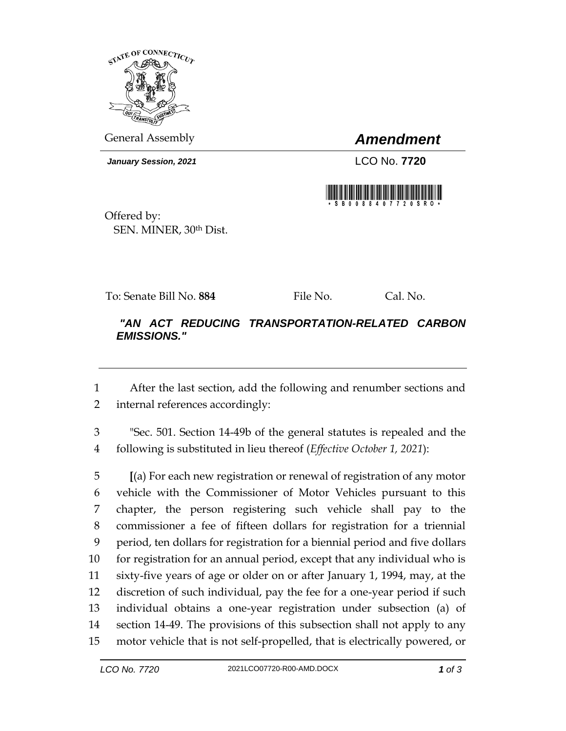

General Assembly *Amendment*

*January Session, 2021* LCO No. **7720**



Offered by: SEN. MINER, 30th Dist.

To: Senate Bill No. **884** File No. Cal. No.

## *"AN ACT REDUCING TRANSPORTATION-RELATED CARBON EMISSIONS."*

 After the last section, add the following and renumber sections and internal references accordingly:

 "Sec. 501. Section 14-49b of the general statutes is repealed and the following is substituted in lieu thereof (*Effective October 1, 2021*):

 **[**(a) For each new registration or renewal of registration of any motor vehicle with the Commissioner of Motor Vehicles pursuant to this chapter, the person registering such vehicle shall pay to the commissioner a fee of fifteen dollars for registration for a triennial period, ten dollars for registration for a biennial period and five dollars for registration for an annual period, except that any individual who is sixty-five years of age or older on or after January 1, 1994, may, at the discretion of such individual, pay the fee for a one-year period if such individual obtains a one-year registration under subsection (a) of section 14-49. The provisions of this subsection shall not apply to any motor vehicle that is not self-propelled, that is electrically powered, or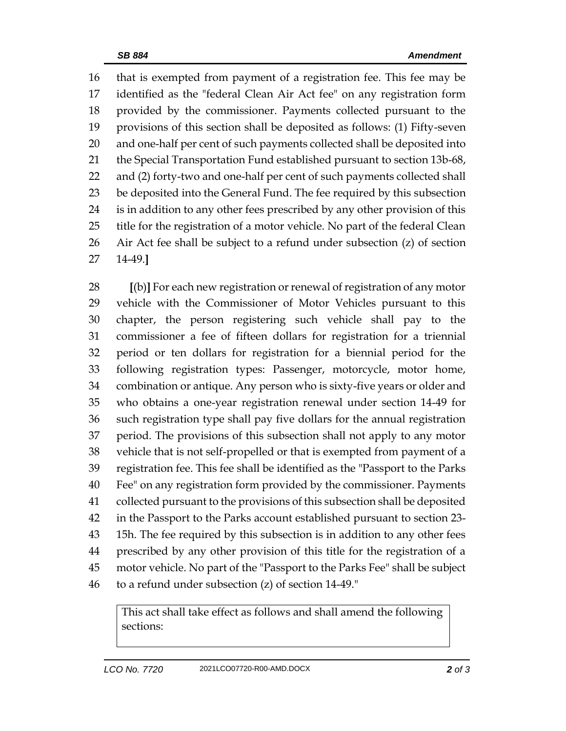that is exempted from payment of a registration fee. This fee may be identified as the "federal Clean Air Act fee" on any registration form provided by the commissioner. Payments collected pursuant to the provisions of this section shall be deposited as follows: (1) Fifty-seven and one-half per cent of such payments collected shall be deposited into the Special Transportation Fund established pursuant to section 13b-68, and (2) forty-two and one-half per cent of such payments collected shall be deposited into the General Fund. The fee required by this subsection is in addition to any other fees prescribed by any other provision of this title for the registration of a motor vehicle. No part of the federal Clean Air Act fee shall be subject to a refund under subsection (z) of section 14-49.**]**

 **[**(b)**]** For each new registration or renewal of registration of any motor vehicle with the Commissioner of Motor Vehicles pursuant to this chapter, the person registering such vehicle shall pay to the commissioner a fee of fifteen dollars for registration for a triennial period or ten dollars for registration for a biennial period for the following registration types: Passenger, motorcycle, motor home, combination or antique. Any person who is sixty-five years or older and who obtains a one-year registration renewal under section 14-49 for such registration type shall pay five dollars for the annual registration period. The provisions of this subsection shall not apply to any motor vehicle that is not self-propelled or that is exempted from payment of a registration fee. This fee shall be identified as the "Passport to the Parks Fee" on any registration form provided by the commissioner. Payments collected pursuant to the provisions of this subsection shall be deposited in the Passport to the Parks account established pursuant to section 23- 15h. The fee required by this subsection is in addition to any other fees prescribed by any other provision of this title for the registration of a motor vehicle. No part of the "Passport to the Parks Fee" shall be subject to a refund under subsection (z) of section 14-49."

This act shall take effect as follows and shall amend the following sections: